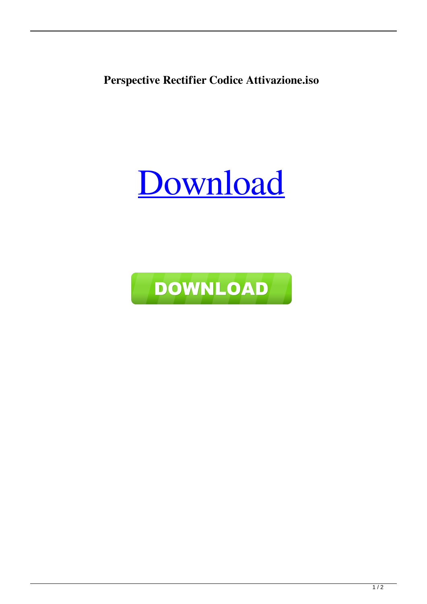**Perspective Rectifier Codice Attivazione.iso**